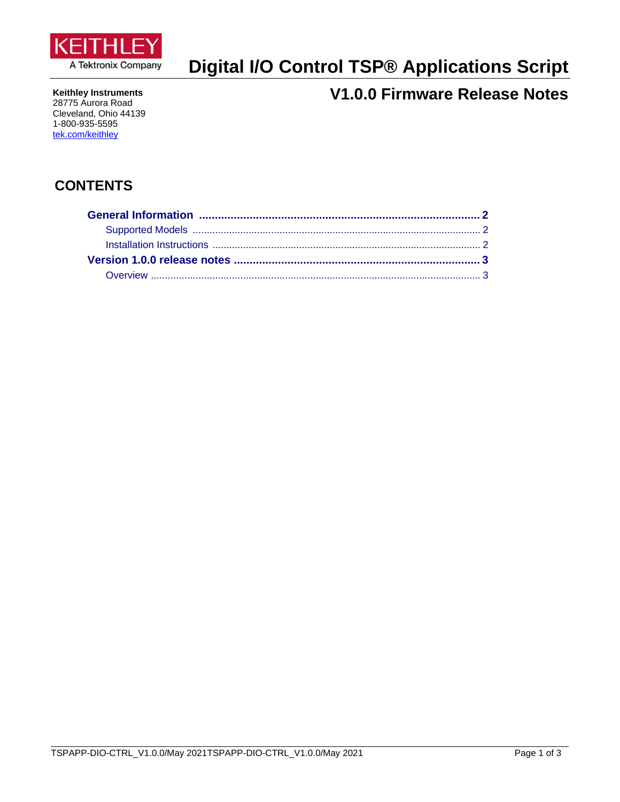

# **Digital I/O Control TSP® Applications Script**

**Keithley Instruments** 28775 Aurora Road Cleveland, Ohio 44139 1-800-935-5595 tek.com/keithley

# **V1.0.0 Firmware Release Notes**

## **CONTENTS**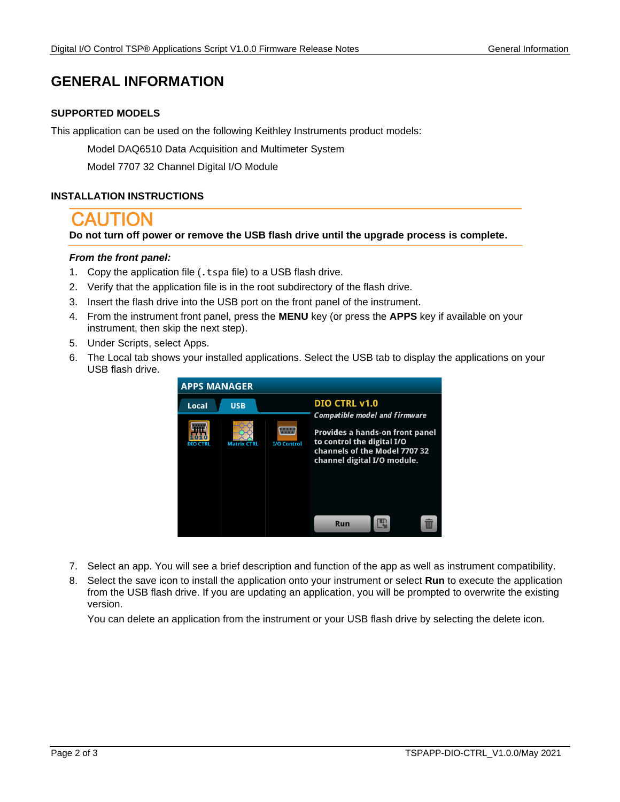## <span id="page-1-0"></span>**GENERAL INFORMATION**

### <span id="page-1-1"></span>**SUPPORTED MODELS**

<span id="page-1-2"></span>This application can be used on the following Keithley Instruments product models:

Model DAQ6510 Data Acquisition and Multimeter System

Model 7707 32 Channel Digital I/O Module

#### **INSTALLATION INSTRUCTIONS**

**Do not turn off power or remove the USB flash drive until the upgrade process is complete.**

#### *From the front panel:*

- 1. Copy the application file (.tspa file) to a USB flash drive.
- 2. Verify that the application file is in the root subdirectory of the flash drive.
- 3. Insert the flash drive into the USB port on the front panel of the instrument.
- 4. From the instrument front panel, press the **MENU** key (or press the **APPS** key if available on your instrument, then skip the next step).
- 5. Under Scripts, select Apps.
- 6. The Local tab shows your installed applications. Select the USB tab to display the applications on your USB flash drive.



- 7. Select an app. You will see a brief description and function of the app as well as instrument compatibility.
- 8. Select the save icon to install the application onto your instrument or select **Run** to execute the application from the USB flash drive. If you are updating an application, you will be prompted to overwrite the existing version.

You can delete an application from the instrument or your USB flash drive by selecting the delete icon.